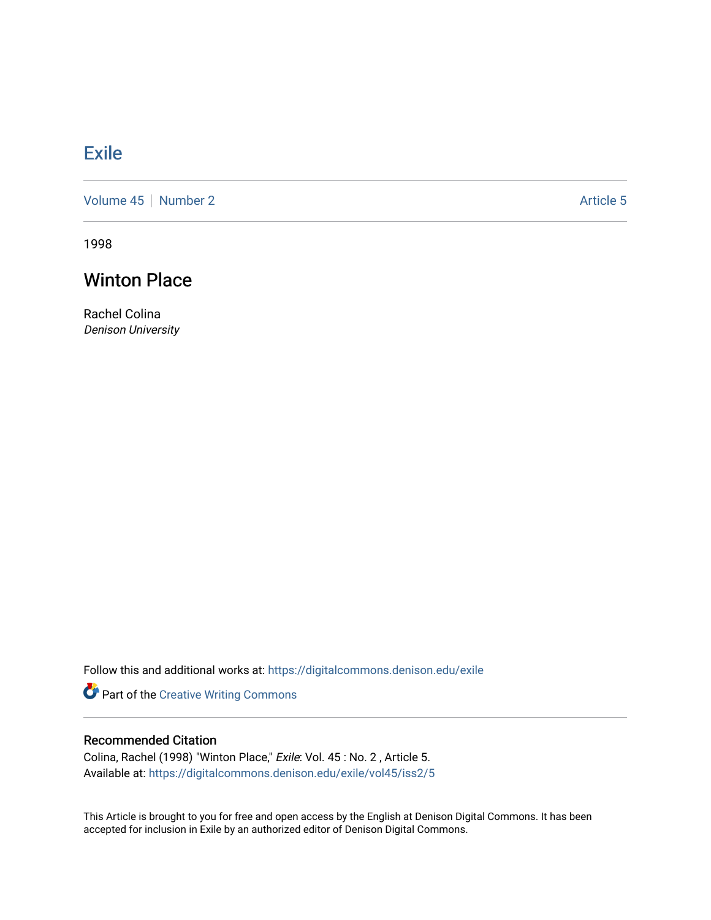## **[Exile](https://digitalcommons.denison.edu/exile)**

[Volume 45](https://digitalcommons.denison.edu/exile/vol45) | [Number 2](https://digitalcommons.denison.edu/exile/vol45/iss2) Article 5

1998

## Winton Place

Rachel Colina Denison University

Follow this and additional works at: [https://digitalcommons.denison.edu/exile](https://digitalcommons.denison.edu/exile?utm_source=digitalcommons.denison.edu%2Fexile%2Fvol45%2Fiss2%2F5&utm_medium=PDF&utm_campaign=PDFCoverPages) 

Part of the [Creative Writing Commons](http://network.bepress.com/hgg/discipline/574?utm_source=digitalcommons.denison.edu%2Fexile%2Fvol45%2Fiss2%2F5&utm_medium=PDF&utm_campaign=PDFCoverPages) 

## Recommended Citation

Colina, Rachel (1998) "Winton Place," Exile: Vol. 45 : No. 2 , Article 5. Available at: [https://digitalcommons.denison.edu/exile/vol45/iss2/5](https://digitalcommons.denison.edu/exile/vol45/iss2/5?utm_source=digitalcommons.denison.edu%2Fexile%2Fvol45%2Fiss2%2F5&utm_medium=PDF&utm_campaign=PDFCoverPages) 

This Article is brought to you for free and open access by the English at Denison Digital Commons. It has been accepted for inclusion in Exile by an authorized editor of Denison Digital Commons.